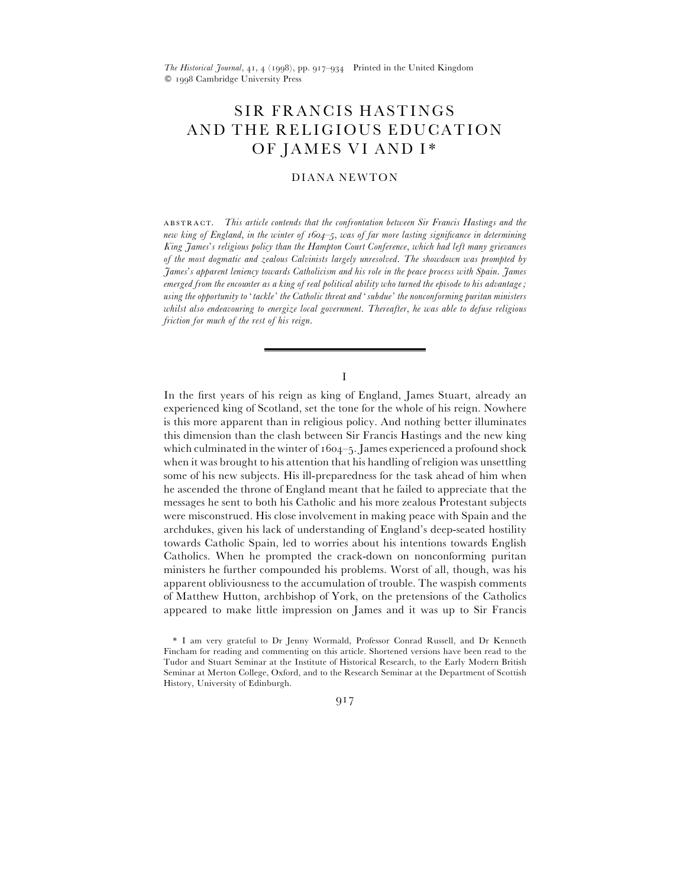*The Historical Journal*, 41, 4 (1998), pp. 917-934 Printed in the United Kingdom  $©$  1998 Cambridge University Press

# SIR FRANCIS HASTINGS AND THE RELIGIOUS EDUCATION OF JAMES VI AND I\*

# DIANA NEWTON

. *This article contends that the confrontation between Sir Francis Hastings and the new king of England*, *in the winter of –*, *was of far more lasting significance in determining King James*'*s religious policy than the Hampton Court Conference*, *which had left many grievances of the most dogmatic and zealous Calvinists largely unresolved*. *The showdown was prompted by James*'*s apparent leniency towards Catholicism and his role in the peace process with Spain*. *James emerged from the encounter as a king of real political ability who turned the episode to his advantage ; using the opportunity to* '*tackle*' *the Catholic threat and* '*subdue*' *the nonconforming puritan ministers whilst also endeavouring to energize local government*. *Thereafter*, *he was able to defuse religious friction for much of the rest of his reign*.

I

In the first years of his reign as king of England, James Stuart, already an experienced king of Scotland, set the tone for the whole of his reign. Nowhere is this more apparent than in religious policy. And nothing better illuminates this dimension than the clash between Sir Francis Hastings and the new king which culminated in the winter of  $1604-5$ . James experienced a profound shock when it was brought to his attention that his handling of religion was unsettling some of his new subjects. His ill-preparedness for the task ahead of him when he ascended the throne of England meant that he failed to appreciate that the messages he sent to both his Catholic and his more zealous Protestant subjects were misconstrued. His close involvement in making peace with Spain and the archdukes, given his lack of understanding of England's deep-seated hostility towards Catholic Spain, led to worries about his intentions towards English Catholics. When he prompted the crack-down on nonconforming puritan ministers he further compounded his problems. Worst of all, though, was his apparent obliviousness to the accumulation of trouble. The waspish comments of Matthew Hutton, archbishop of York, on the pretensions of the Catholics appeared to make little impression on James and it was up to Sir Francis

917

<sup>\*</sup> I am very grateful to Dr Jenny Wormald, Professor Conrad Russell, and Dr Kenneth Fincham for reading and commenting on this article. Shortened versions have been read to the Tudor and Stuart Seminar at the Institute of Historical Research, to the Early Modern British Seminar at Merton College, Oxford, and to the Research Seminar at the Department of Scottish History, University of Edinburgh.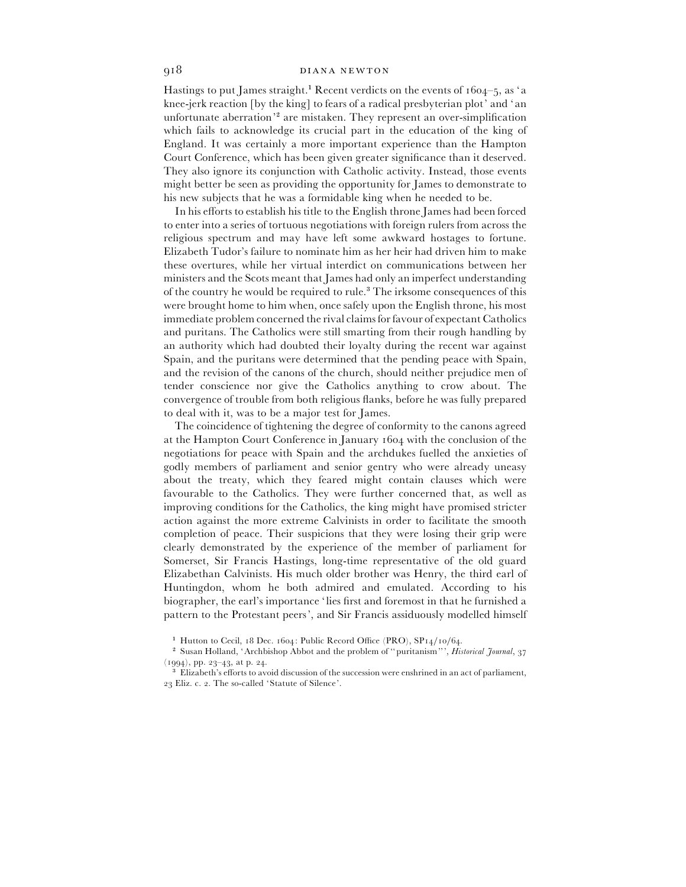Hastings to put James straight.<sup>1</sup> Recent verdicts on the events of  $1604-5$ , as 'a knee-jerk reaction [by the king] to fears of a radical presbyterian plot' and ' an unfortunate aberration<sup>'2</sup> are mistaken. They represent an over-simplification which fails to acknowledge its crucial part in the education of the king of England. It was certainly a more important experience than the Hampton Court Conference, which has been given greater significance than it deserved. They also ignore its conjunction with Catholic activity. Instead, those events might better be seen as providing the opportunity for James to demonstrate to his new subjects that he was a formidable king when he needed to be.

In his efforts to establish his title to the English throne James had been forced to enter into a series of tortuous negotiations with foreign rulers from across the religious spectrum and may have left some awkward hostages to fortune. Elizabeth Tudor's failure to nominate him as her heir had driven him to make these overtures, while her virtual interdict on communications between her ministers and the Scots meant that James had only an imperfect understanding of the country he would be required to rule.\$ The irksome consequences of this were brought home to him when, once safely upon the English throne, his most immediate problem concerned the rival claims for favour of expectant Catholics and puritans. The Catholics were still smarting from their rough handling by an authority which had doubted their loyalty during the recent war against Spain, and the puritans were determined that the pending peace with Spain, and the revision of the canons of the church, should neither prejudice men of tender conscience nor give the Catholics anything to crow about. The convergence of trouble from both religious flanks, before he was fully prepared to deal with it, was to be a major test for James.

The coincidence of tightening the degree of conformity to the canons agreed at the Hampton Court Conference in January  $1604$  with the conclusion of the negotiations for peace with Spain and the archdukes fuelled the anxieties of godly members of parliament and senior gentry who were already uneasy about the treaty, which they feared might contain clauses which were favourable to the Catholics. They were further concerned that, as well as improving conditions for the Catholics, the king might have promised stricter action against the more extreme Calvinists in order to facilitate the smooth completion of peace. Their suspicions that they were losing their grip were clearly demonstrated by the experience of the member of parliament for Somerset, Sir Francis Hastings, long-time representative of the old guard Elizabethan Calvinists. His much older brother was Henry, the third earl of Huntingdon, whom he both admired and emulated. According to his biographer, the earl's importance 'lies first and foremost in that he furnished a pattern to the Protestant peers', and Sir Francis assiduously modelled himself

<sup>&</sup>lt;sup>1</sup> Hutton to Cecil, 18 Dec. 1604: Public Record Office (PRO),  $SP14/10/64$ .

<sup>&</sup>lt;sup>2</sup> Susan Holland, 'Archbishop Abbot and the problem of "puritanism"', *Historical Journal*, 37  $(1994)$ , pp. 23-43, at p. 24.

Elizabeth's efforts to avoid discussion of the succession were enshrined in an act of parliament, 23 Eliz. c. 2. The so-called 'Statute of Silence'.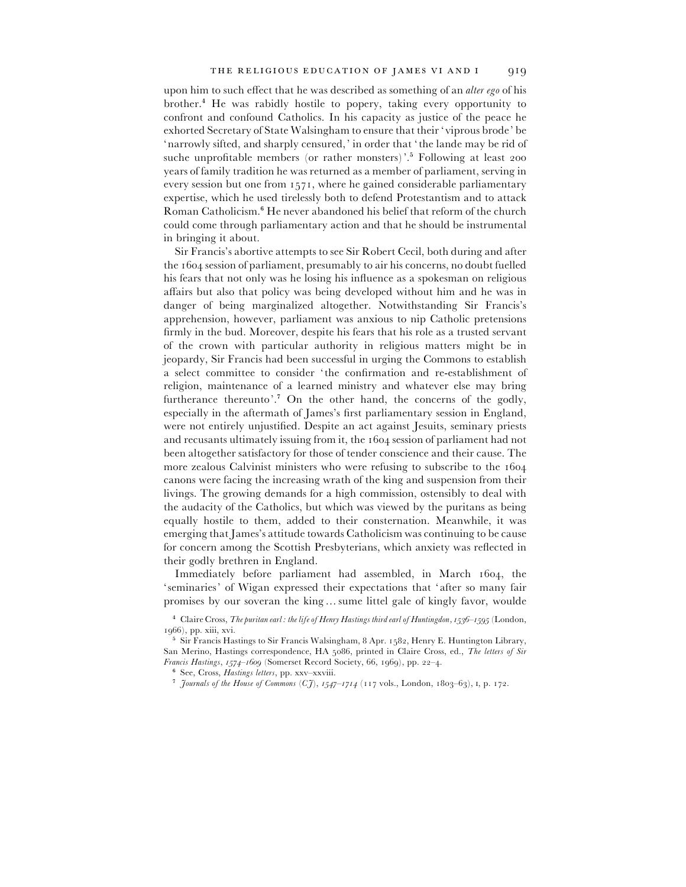upon him to such effect that he was described as something of an *alter ego* of his brother.<sup>4</sup> He was rabidly hostile to popery, taking every opportunity to confront and confound Catholics. In his capacity as justice of the peace he exhorted Secretary of State Walsingham to ensure that their ' viprous brode' be 'narrowly sifted, and sharply censured,' in order that ' the lande may be rid of suche unprofitable members (or rather monsters)'.<sup>5</sup> Following at least 200 years of family tradition he was returned as a member of parliament, serving in every session but one from  $1571$ , where he gained considerable parliamentary expertise, which he used tirelessly both to defend Protestantism and to attack Roman Catholicism.<sup>6</sup> He never abandoned his belief that reform of the church could come through parliamentary action and that he should be instrumental in bringing it about.

Sir Francis's abortive attempts to see Sir Robert Cecil, both during and after the 1604 session of parliament, presumably to air his concerns, no doubt fuelled his fears that not only was he losing his influence as a spokesman on religious affairs but also that policy was being developed without him and he was in danger of being marginalized altogether. Notwithstanding Sir Francis's apprehension, however, parliament was anxious to nip Catholic pretensions firmly in the bud. Moreover, despite his fears that his role as a trusted servant of the crown with particular authority in religious matters might be in jeopardy, Sir Francis had been successful in urging the Commons to establish a select committee to consider ' the confirmation and re-establishment of religion, maintenance of a learned ministry and whatever else may bring furtherance thereunto'.<sup>7</sup> On the other hand, the concerns of the godly, especially in the aftermath of James's first parliamentary session in England, were not entirely unjustified. Despite an act against Jesuits, seminary priests and recusants ultimately issuing from it, the  $1604$  session of parliament had not been altogether satisfactory for those of tender conscience and their cause. The more zealous Calvinist ministers who were refusing to subscribe to the canons were facing the increasing wrath of the king and suspension from their livings. The growing demands for a high commission, ostensibly to deal with the audacity of the Catholics, but which was viewed by the puritans as being equally hostile to them, added to their consternation. Meanwhile, it was emerging that James's attitude towards Catholicism was continuing to be cause for concern among the Scottish Presbyterians, which anxiety was reflected in their godly brethren in England.

Immediately before parliament had assembled, in March 1604, the ' seminaries' of Wigan expressed their expectations that ' after so many fair promises by our soveran the king… sume littel gale of kingly favor, woulde

<sup>4</sup> Claire Cross, *The puritan earl : the life of Henry Hastings third earl of Huntingdon, 1536–1595* (London, 1966), pp. xiii, xvi.

' See, Cross, *Hastings letters*, pp. xxv–xxviii. (

<sup>7</sup> Journals of the House of Commons (CJ),  $1547-1714$  (117 vols., London, 1803-63), I, p. 172.

<sup>&</sup>lt;sup>5</sup> Sir Francis Hastings to Sir Francis Walsingham, 8 Apr. 1582, Henry E. Huntington Library, San Merino, Hastings correspondence, HA 5086, printed in Claire Cross, ed., *The letters of Sir Francis Hastings*,  $1574 - 1609$  (Somerset Record Society, 66, 1969), pp. 22-4.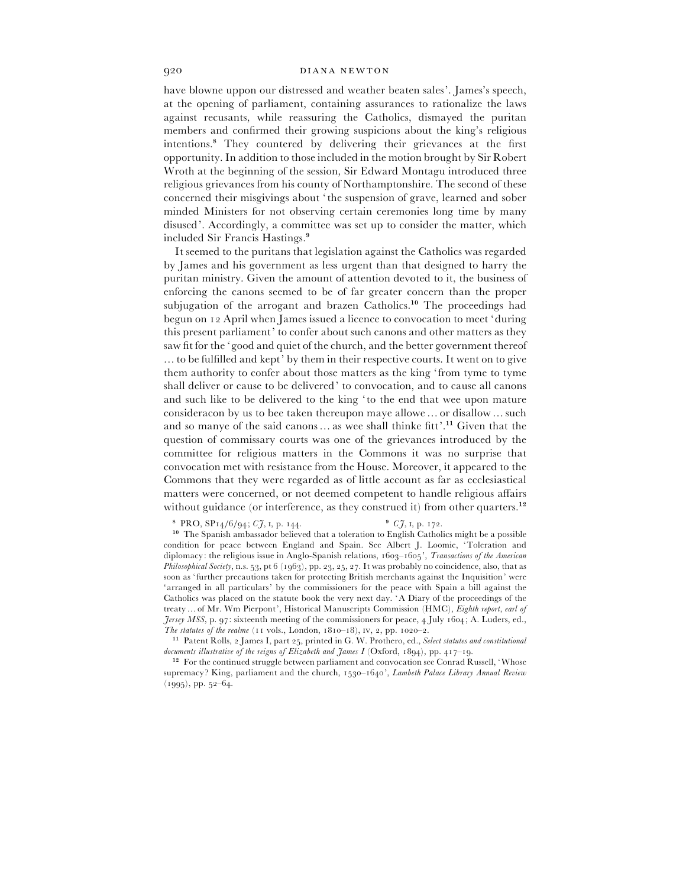have blowne uppon our distressed and weather beaten sales'. James's speech, at the opening of parliament, containing assurances to rationalize the laws against recusants, while reassuring the Catholics, dismayed the puritan members and confirmed their growing suspicions about the king's religious intentions.) They countered by delivering their grievances at the first opportunity. In addition to those included in the motion brought by Sir Robert Wroth at the beginning of the session, Sir Edward Montagu introduced three religious grievances from his county of Northamptonshire. The second of these concerned their misgivings about ' the suspension of grave, learned and sober minded Ministers for not observing certain ceremonies long time by many disused'. Accordingly, a committee was set up to consider the matter, which included Sir Francis Hastings.<sup>9</sup>

It seemed to the puritans that legislation against the Catholics was regarded by James and his government as less urgent than that designed to harry the puritan ministry. Given the amount of attention devoted to it, the business of enforcing the canons seemed to be of far greater concern than the proper subjugation of the arrogant and brazen Catholics.<sup>10</sup> The proceedings had begun on 12 April when James issued a licence to convocation to meet 'during this present parliament' to confer about such canons and other matters as they saw fit for the 'good and quiet of the church, and the better government thereof … to be fulfilled and kept' by them in their respective courts. It went on to give them authority to confer about those matters as the king 'from tyme to tyme shall deliver or cause to be delivered' to convocation, and to cause all canons and such like to be delivered to the king 'to the end that wee upon mature consideracon by us to bee taken thereupon maye allowe… or disallow… such and so manye of the said canons ... as wee shall thinke fitt'.<sup>11</sup> Given that the question of commissary courts was one of the grievances introduced by the committee for religious matters in the Commons it was no surprise that convocation met with resistance from the House. Moreover, it appeared to the Commons that they were regarded as of little account as far as ecclesiastical matters were concerned, or not deemed competent to handle religious affairs without guidance (or interference, as they construed it) from other quarters.<sup>12</sup>

<sup>11</sup> Patent Rolls, 2 James I, part 25, printed in G. W. Prothero, ed., *Select statutes and constitutional* documents illustrative of the reigns of Elizabeth and James I (Oxford, 1894), pp. 417-19.

 $F<sup>12</sup>$  For the continued struggle between parliament and convocation see Conrad Russell, 'Whose supremacy? King, parliament and the church,  $1530-1640$ <sup>'</sup>, *Lambeth Palace Library Annual Review*  $(1995)$ , pp.  $52-64$ .

<sup>&</sup>lt;sup>8</sup> PRO,  $\text{SP}_{14}/6/\text{94}$ ; *CJ*, r, p. 144. <sup>9</sup> *CJ*, r, p. 172.

 $^{10}\,$  The Spanish ambassador believed that a toleration to English Catholics might be a possible condition for peace between England and Spain. See Albert J. Loomie, 'Toleration and diplomacy: the religious issue in Anglo-Spanish relations, 1603-1605', *Transactions of the American Philosophical Society*, n.s. 53, pt 6 (1963), pp. 23, 25, 27. It was probably no coincidence, also, that as soon as 'further precautions taken for protecting British merchants against the Inquisition' were ' arranged in all particulars' by the commissioners for the peace with Spain a bill against the Catholics was placed on the statute book the very next day. 'A Diary of the proceedings of the treaty… of Mr. Wm Pierpont', Historical Manuscripts Commission (HMC), *Eighth report*, *earl of Jersey MSS*, p. 97: sixteenth meeting of the commissioners for peace, 4 July 1604; A. Luders, ed.,  $The \; status \; of \; the \; realm \; (11 \; volts., \; London, \; 1810-18), \; IV, \; 2, \; pp. \; 1020-2.$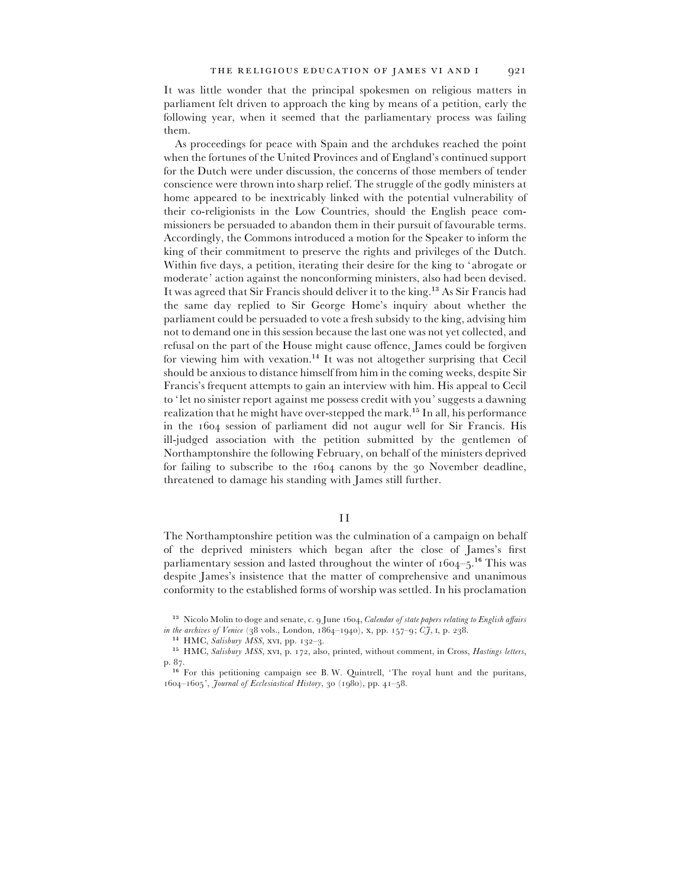It was little wonder that the principal spokesmen on religious matters in parliament felt driven to approach the king by means of a petition, early the following year, when it seemed that the parliamentary process was failing them.

As proceedings for peace with Spain and the archdukes reached the point when the fortunes of the United Provinces and of England's continued support for the Dutch were under discussion, the concerns of those members of tender conscience were thrown into sharp relief. The struggle of the godly ministers at home appeared to be inextricably linked with the potential vulnerability of their co-religionists in the Low Countries, should the English peace commissioners be persuaded to abandon them in their pursuit of favourable terms. Accordingly, the Commons introduced a motion for the Speaker to inform the king of their commitment to preserve the rights and privileges of the Dutch. Within five days, a petition, iterating their desire for the king to ' abrogate or moderate' action against the nonconforming ministers, also had been devised. It was agreed that Sir Francis should deliver it to the king.<sup>13</sup> As Sir Francis had the same day replied to Sir George Home's inquiry about whether the parliament could be persuaded to vote a fresh subsidy to the king, advising him not to demand one in this session because the last one was not yet collected, and refusal on the part of the House might cause offence, James could be forgiven for viewing him with vexation.<sup>14</sup> It was not altogether surprising that Cecil should be anxious to distance himself from him in the coming weeks, despite Sir Francis's frequent attempts to gain an interview with him. His appeal to Cecil to 'let no sinister report against me possess credit with you' suggests a dawning realization that he might have over-stepped the mark.<sup>15</sup> In all, his performance in the 1604 session of parliament did not augur well for Sir Francis. His ill-judged association with the petition submitted by the gentlemen of Northamptonshire the following February, on behalf of the ministers deprived for failing to subscribe to the  $1604$  canons by the  $30$  November deadline, threatened to damage his standing with James still further.

# II

The Northamptonshire petition was the culmination of a campaign on behalf of the deprived ministers which began after the close of James's first parliamentary session and lasted throughout the winter of  $1604-5$ .<sup>16</sup> This was despite James's insistence that the matter of comprehensive and unanimous conformity to the established forms of worship was settled. In his proclamation

 $^{14}$  HMC, *Salisbury MSS*, xvi, pp.  $132-3$ .

<sup>&</sup>lt;sup>13</sup> Nicolo Molin to doge and senate, c. 9 June 1604, *Calendar of state papers relating to English affairs in the archives of Venice* (38 vols., London, 1864-1940), x, pp. 157-9;  $CJ$ , I, p. 238.

<sup>&</sup>lt;sup>15</sup> HMC, *Salisbury MSS*, xv1, p. 172, also, printed, without comment, in Cross, *Hastings letters*, p. 87.<br><sup>16</sup> For this petitioning campaign see B.W. Quintrell, 'The royal hunt and the puritans,

<sup>1604-1605&#</sup>x27;, *Journal of Ecclesiastical History*, 30 (1980), pp. 41-58.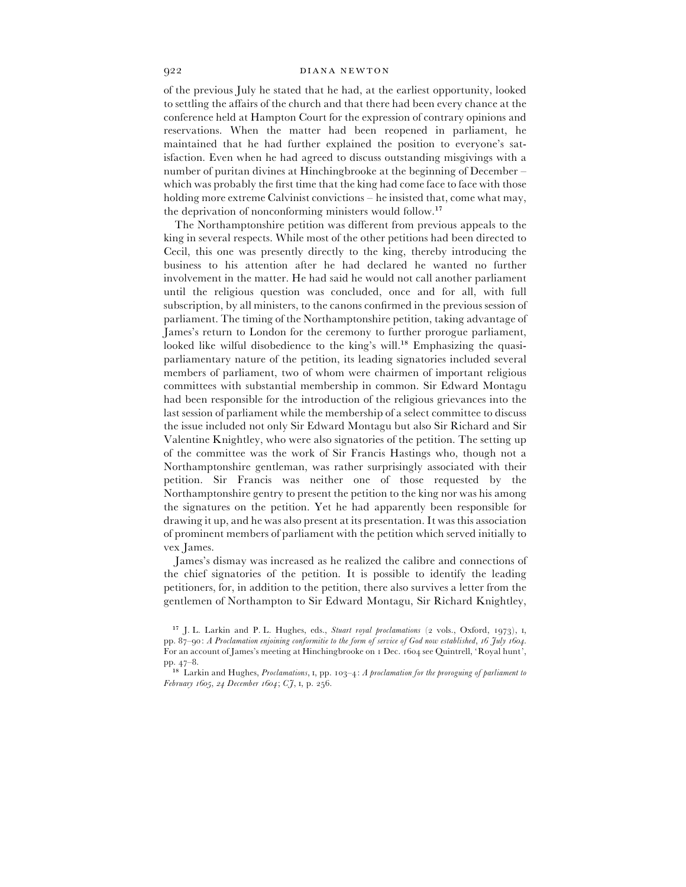of the previous July he stated that he had, at the earliest opportunity, looked to settling the affairs of the church and that there had been every chance at the conference held at Hampton Court for the expression of contrary opinions and reservations. When the matter had been reopened in parliament, he maintained that he had further explained the position to everyone's satisfaction. Even when he had agreed to discuss outstanding misgivings with a number of puritan divines at Hinchingbrooke at the beginning of December – which was probably the first time that the king had come face to face with those holding more extreme Calvinist convictions – he insisted that, come what may, the deprivation of nonconforming ministers would follow.<sup>17</sup>

The Northamptonshire petition was different from previous appeals to the king in several respects. While most of the other petitions had been directed to Cecil, this one was presently directly to the king, thereby introducing the business to his attention after he had declared he wanted no further involvement in the matter. He had said he would not call another parliament until the religious question was concluded, once and for all, with full subscription, by all ministers, to the canons confirmed in the previous session of parliament. The timing of the Northamptonshire petition, taking advantage of James's return to London for the ceremony to further prorogue parliament, looked like wilful disobedience to the king's will.<sup>18</sup> Emphasizing the quasiparliamentary nature of the petition, its leading signatories included several members of parliament, two of whom were chairmen of important religious committees with substantial membership in common. Sir Edward Montagu had been responsible for the introduction of the religious grievances into the last session of parliament while the membership of a select committee to discuss the issue included not only Sir Edward Montagu but also Sir Richard and Sir Valentine Knightley, who were also signatories of the petition. The setting up of the committee was the work of Sir Francis Hastings who, though not a Northamptonshire gentleman, was rather surprisingly associated with their petition. Sir Francis was neither one of those requested by the Northamptonshire gentry to present the petition to the king nor was his among the signatures on the petition. Yet he had apparently been responsible for drawing it up, and he was also present at its presentation. It was this association of prominent members of parliament with the petition which served initially to vex James.

James's dismay was increased as he realized the calibre and connections of the chief signatories of the petition. It is possible to identify the leading petitioners, for, in addition to the petition, there also survives a letter from the gentlemen of Northampton to Sir Edward Montagu, Sir Richard Knightley,

<sup>&</sup>lt;sup>17</sup> J. L. Larkin and P. L. Hughes, eds., *Stuart royal proclamations* (2 vols., Oxford, 1973), 1, pp. 87-90: *A Proclamation enjoining conformitie to the form of service of God now established, 16 July 1604.* For an account of James's meeting at Hinchingbrooke on 1 Dec. 1604 see Quintrell, 'Royal hunt', pp. 47–8.<br><sup>18</sup> Larkin and Hughes, *Proclamations*, 1, pp. 103–4: *A proclamation for the proroguing of parliament to* 

*February* 1605, 24 December 1604; CJ, 1, p. 256.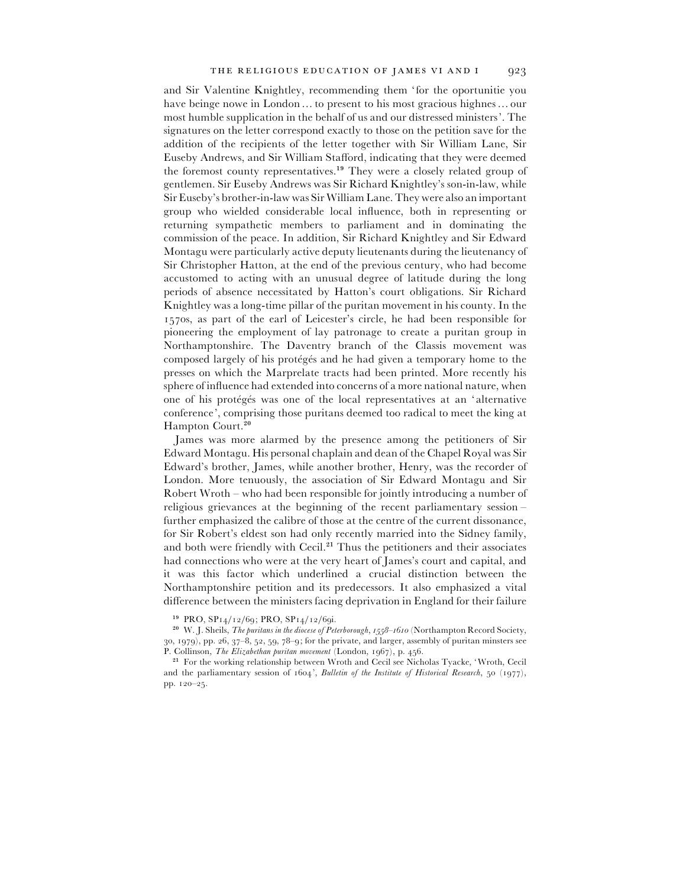and Sir Valentine Knightley, recommending them 'for the oportunitie you have beinge nowe in London… to present to his most gracious highnes… our most humble supplication in the behalf of us and our distressed ministers'. The signatures on the letter correspond exactly to those on the petition save for the addition of the recipients of the letter together with Sir William Lane, Sir Euseby Andrews, and Sir William Stafford, indicating that they were deemed the foremost county representatives.<sup>19</sup> They were a closely related group of gentlemen. Sir Euseby Andrews was Sir Richard Knightley's son-in-law, while Sir Euseby's brother-in-law was SirWilliam Lane. They were also an important group who wielded considerable local influence, both in representing or returning sympathetic members to parliament and in dominating the commission of the peace. In addition, Sir Richard Knightley and Sir Edward Montagu were particularly active deputy lieutenants during the lieutenancy of Sir Christopher Hatton, at the end of the previous century, who had become accustomed to acting with an unusual degree of latitude during the long periods of absence necessitated by Hatton's court obligations. Sir Richard Knightley was a long-time pillar of the puritan movement in his county. In the 1570s, as part of the earl of Leicester's circle, he had been responsible for pioneering the employment of lay patronage to create a puritan group in Northamptonshire. The Daventry branch of the Classis movement was composed largely of his protégés and he had given a temporary home to the presses on which the Marprelate tracts had been printed. More recently his sphere of influence had extended into concerns of a more national nature, when one of his protégés was one of the local representatives at an 'alternative conference', comprising those puritans deemed too radical to meet the king at Hampton Court.<sup>20</sup>

James was more alarmed by the presence among the petitioners of Sir Edward Montagu. His personal chaplain and dean of the Chapel Royal was Sir Edward's brother, James, while another brother, Henry, was the recorder of London. More tenuously, the association of Sir Edward Montagu and Sir Robert Wroth – who had been responsible for jointly introducing a number of religious grievances at the beginning of the recent parliamentary session – further emphasized the calibre of those at the centre of the current dissonance, for Sir Robert's eldest son had only recently married into the Sidney family, and both were friendly with Cecil.<sup>21</sup> Thus the petitioners and their associates had connections who were at the very heart of James's court and capital, and it was this factor which underlined a crucial distinction between the Northamptonshire petition and its predecessors. It also emphasized a vital difference between the ministers facing deprivation in England for their failure

<sup>19</sup> PRO, SP<sub>14</sub>/<sub>12</sub>/69; PRO, SP<sub>14</sub>/<sub>12</sub>/69<sup>1</sup>.

<sup>20</sup> W. J. Sheils, *The puritans in the diocese of Peterborough*,  $I_{.57}$ <sup>8-1610</sup> (Northampton Record Society,  $(30, 1979)$ , pp. 26,  $37-8$ ,  $52$ ,  $59$ ,  $78-9$ ; for the private, and larger, assembly of puritan minsters see P. Collinson, *The Elizabethan puritan movement* (London, 1967), p. 456.

<sup>21</sup> For the working relationship between Wroth and Cecil see Nicholas Tyacke, 'Wroth, Cecil and the parliamentary session of  $1604$ , *Bulletin of the Institute of Historical Research*,  $50$  ( $1977$ ), pp. 120-25.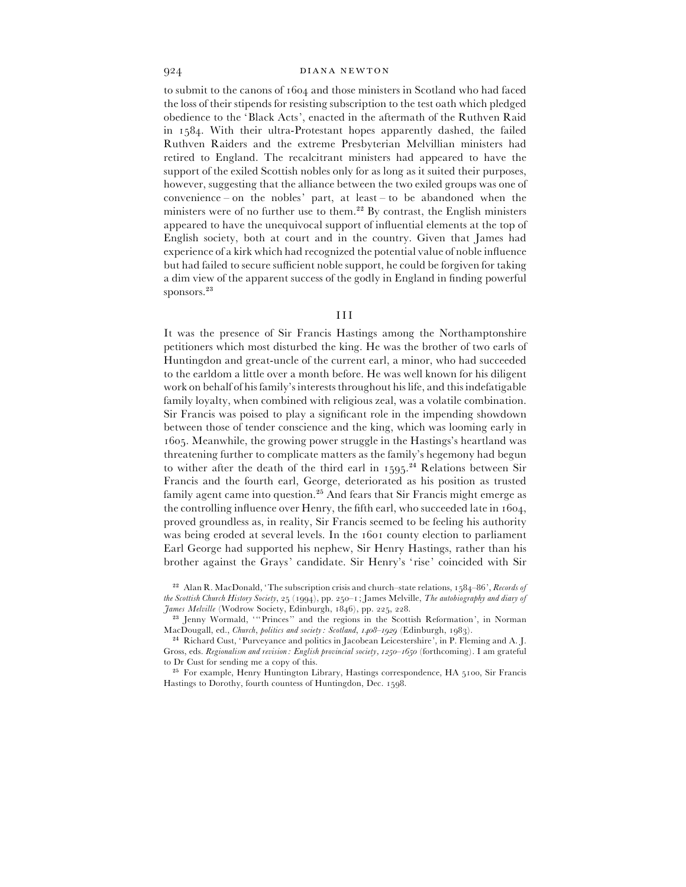to submit to the canons of  $1604$  and those ministers in Scotland who had faced the loss of their stipends for resisting subscription to the test oath which pledged obedience to the 'Black Acts', enacted in the aftermath of the Ruthven Raid in 1584. With their ultra-Protestant hopes apparently dashed, the failed Ruthven Raiders and the extreme Presbyterian Melvillian ministers had retired to England. The recalcitrant ministers had appeared to have the support of the exiled Scottish nobles only for as long as it suited their purposes, however, suggesting that the alliance between the two exiled groups was one of convenience – on the nobles' part, at least – to be abandoned when the ministers were of no further use to them. $22$  By contrast, the English ministers appeared to have the unequivocal support of influential elements at the top of English society, both at court and in the country. Given that James had experience of a kirk which had recognized the potential value of noble influence but had failed to secure sufficient noble support, he could be forgiven for taking a dim view of the apparent success of the godly in England in finding powerful sponsors.<sup>23</sup>

# III

It was the presence of Sir Francis Hastings among the Northamptonshire petitioners which most disturbed the king. He was the brother of two earls of Huntingdon and great-uncle of the current earl, a minor, who had succeeded to the earldom a little over a month before. He was well known for his diligent work on behalf of his family's interests throughout his life, and this indefatigable family loyalty, when combined with religious zeal, was a volatile combination. Sir Francis was poised to play a significant role in the impending showdown between those of tender conscience and the king, which was looming early in . Meanwhile, the growing power struggle in the Hastings's heartland was threatening further to complicate matters as the family's hegemony had begun to wither after the death of the third earl in  $1595$ .<sup>24</sup> Relations between Sir Francis and the fourth earl, George, deteriorated as his position as trusted family agent came into question.<sup>25</sup> And fears that Sir Francis might emerge as the controlling influence over Henry, the fifth earl, who succeeded late in  $1604$ , proved groundless as, in reality, Sir Francis seemed to be feeling his authority was being eroded at several levels. In the 1601 county election to parliament Earl George had supported his nephew, Sir Henry Hastings, rather than his brother against the Grays' candidate. Sir Henry's ' rise' coincided with Sir

<sup>&</sup>lt;sup>22</sup> Alan R. MacDonald, 'The subscription crisis and church–state relations, 1584–86', *Records of* the Scottish Church History Society, 25 (1994), pp. 250-1; James Melville, *The autobiography and diary of James Melville* (Wodrow Society, Edinburgh, 1846), pp. 225, 228.

<sup>&</sup>lt;sup>23</sup> Jenny Wormald, "'Princes" and the regions in the Scottish Reformation', in Norman MacDougall, ed., *Church, politics and society: Scotland, 1408-1929* (Edinburgh, 1983).

 $24$  Richard Cust, 'Purveyance and politics in Jacobean Leicestershire', in P. Fleming and A. J. Gross, eds. *Regionalism and revision: English provincial society, 1250-1650* (forthcoming). I am grateful to Dr Cust for sending me a copy of this.

<sup>&</sup>lt;sup>25</sup> For example, Henry Huntington Library, Hastings correspondence, HA 5100, Sir Francis Hastings to Dorothy, fourth countess of Huntingdon, Dec. 1598.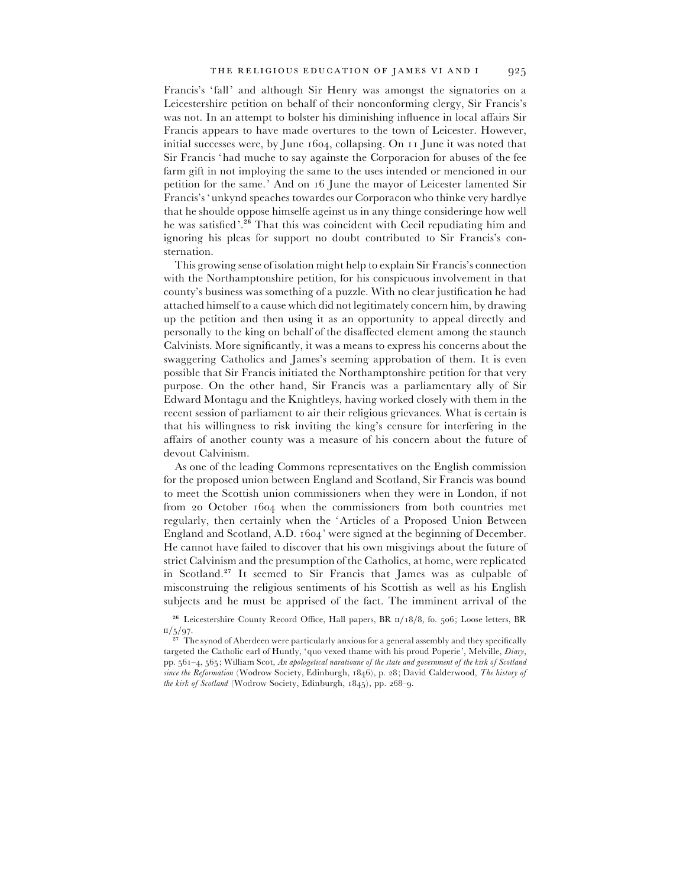Francis's 'fall' and although Sir Henry was amongst the signatories on a Leicestershire petition on behalf of their nonconforming clergy, Sir Francis's was not. In an attempt to bolster his diminishing influence in local affairs Sir Francis appears to have made overtures to the town of Leicester. However, initial successes were, by June 1604, collapsing. On 11 June it was noted that Sir Francis 'had muche to say againste the Corporacion for abuses of the fee farm gift in not imploying the same to the uses intended or mencioned in our petition for the same.' And on 16 June the mayor of Leicester lamented Sir Francis's 'unkynd speaches towardes our Corporacon who thinke very hardlye that he shoulde oppose himselfe ageinst us in any thinge consideringe how well he was satisfied'.<sup>26</sup> That this was coincident with Cecil repudiating him and ignoring his pleas for support no doubt contributed to Sir Francis's consternation.

This growing sense of isolation might help to explain Sir Francis's connection with the Northamptonshire petition, for his conspicuous involvement in that county's business was something of a puzzle. With no clear justification he had attached himself to a cause which did not legitimately concern him, by drawing up the petition and then using it as an opportunity to appeal directly and personally to the king on behalf of the disaffected element among the staunch Calvinists. More significantly, it was a means to express his concerns about the swaggering Catholics and James's seeming approbation of them. It is even possible that Sir Francis initiated the Northamptonshire petition for that very purpose. On the other hand, Sir Francis was a parliamentary ally of Sir Edward Montagu and the Knightleys, having worked closely with them in the recent session of parliament to air their religious grievances. What is certain is that his willingness to risk inviting the king's censure for interfering in the affairs of another county was a measure of his concern about the future of devout Calvinism.

As one of the leading Commons representatives on the English commission for the proposed union between England and Scotland, Sir Francis was bound to meet the Scottish union commissioners when they were in London, if not from 20 October 1604 when the commissioners from both countries met regularly, then certainly when the 'Articles of a Proposed Union Between England and Scotland, A.D. 1604' were signed at the beginning of December. He cannot have failed to discover that his own misgivings about the future of strict Calvinism and the presumption of the Catholics, at home, were replicated in Scotland.<sup>27</sup> It seemed to Sir Francis that James was as culpable of misconstruing the religious sentiments of his Scottish as well as his English subjects and he must be apprised of the fact. The imminent arrival of the

<sup>26</sup> Leicestershire County Record Office, Hall papers, BR  $\pi/18/8$ , fo. 506; Loose letters, BR  $\frac{\pi}{2}$  The synod of Aberdeen were particularly anxious for a general assembly and they specifically

targeted the Catholic earl of Huntly, 'quo vexed thame with his proud Poperie', Melville, *Diary*, pp. 561-4, 565; William Scot, *An apologetical naratioune of the state and government of the kirk of Scotland* since the Reformation (Wodrow Society, Edinburgh, 1846), p. 28; David Calderwood, The history of *the kirk of Scotland* (Wodrow Society, Edinburgh, 1845), pp. 268-9.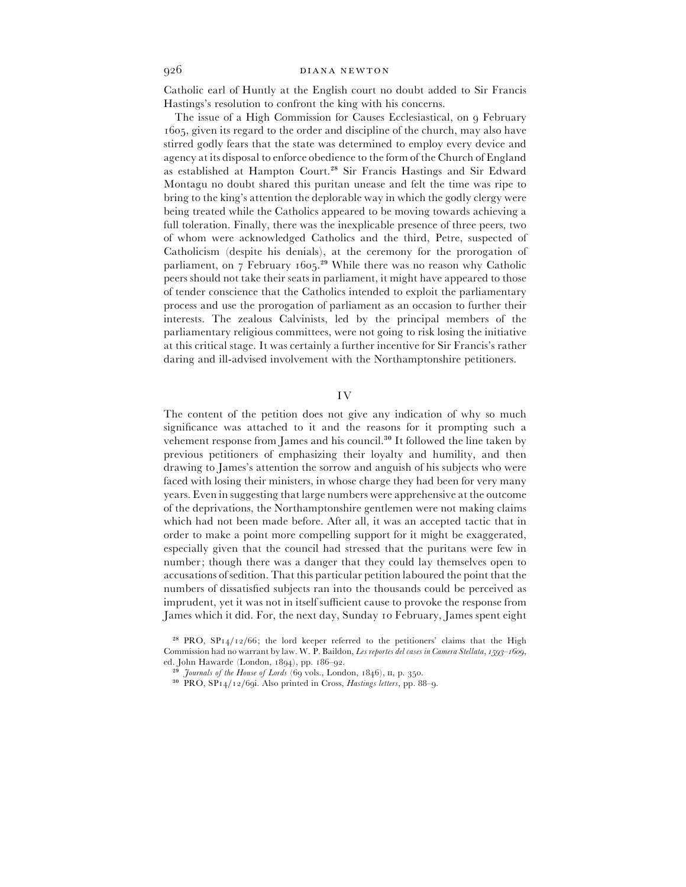Catholic earl of Huntly at the English court no doubt added to Sir Francis Hastings's resolution to confront the king with his concerns.

The issue of a High Commission for Causes Ecclesiastical, on 9 February 1605, given its regard to the order and discipline of the church, may also have stirred godly fears that the state was determined to employ every device and agency at its disposal to enforce obedience to the form of the Church of England as established at Hampton Court.<sup>28</sup> Sir Francis Hastings and Sir Edward Montagu no doubt shared this puritan unease and felt the time was ripe to bring to the king's attention the deplorable way in which the godly clergy were being treated while the Catholics appeared to be moving towards achieving a full toleration. Finally, there was the inexplicable presence of three peers, two of whom were acknowledged Catholics and the third, Petre, suspected of Catholicism (despite his denials), at the ceremony for the prorogation of parliament, on  $7$  February 1605.<sup>29</sup> While there was no reason why Catholic peers should not take their seats in parliament, it might have appeared to those of tender conscience that the Catholics intended to exploit the parliamentary process and use the prorogation of parliament as an occasion to further their interests. The zealous Calvinists, led by the principal members of the parliamentary religious committees, were not going to risk losing the initiative at this critical stage. It was certainly a further incentive for Sir Francis's rather daring and ill-advised involvement with the Northamptonshire petitioners.

### IV

The content of the petition does not give any indication of why so much significance was attached to it and the reasons for it prompting such a vehement response from James and his council.<sup>30</sup> It followed the line taken by previous petitioners of emphasizing their loyalty and humility, and then drawing to James's attention the sorrow and anguish of his subjects who were faced with losing their ministers, in whose charge they had been for very many years. Even in suggesting that large numbers were apprehensive at the outcome of the deprivations, the Northamptonshire gentlemen were not making claims which had not been made before. After all, it was an accepted tactic that in order to make a point more compelling support for it might be exaggerated, especially given that the council had stressed that the puritans were few in number; though there was a danger that they could lay themselves open to accusations of sedition. That this particular petition laboured the point that the numbers of dissatisfied subjects ran into the thousands could be perceived as imprudent, yet it was not in itself sufficient cause to provoke the response from James which it did. For, the next day, Sunday 10 February, James spent eight

<sup>&</sup>lt;sup>28</sup> PRO, SP14/12/66; the lord keeper referred to the petitioners' claims that the High Commission had no warrant by law. W. P. Baildon, *Les reportes del cases in Camera Stellata*, *–*, ed. John Hawarde (London, 1894), pp. 186–92.

*Journals of the House of Lords* (69 vols., London, 1846), II, p. 350.

<sup>&</sup>lt;sup>2</sup> *journals of the House of Lords* (69 vols., London, 1846), II, p. 350.<br><sup>30</sup> PRO, SP14/12/69i. Also printed in Cross, *Hastings letters*, pp. 88–9.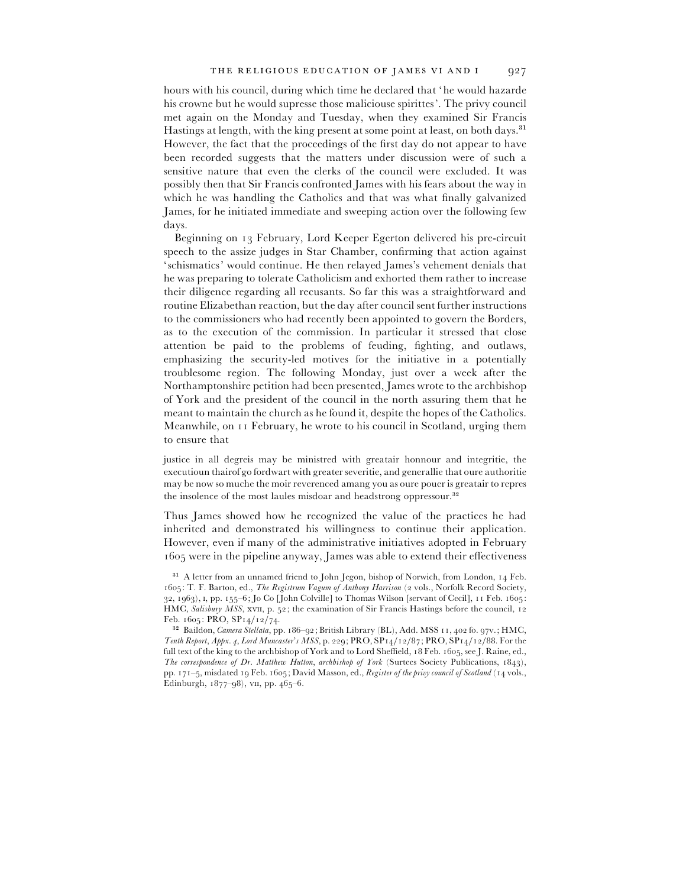hours with his council, during which time he declared that 'he would hazarde his crowne but he would supresse those maliciouse spirittes'. The privy council met again on the Monday and Tuesday, when they examined Sir Francis Hastings at length, with the king present at some point at least, on both days.<sup>31</sup> However, the fact that the proceedings of the first day do not appear to have been recorded suggests that the matters under discussion were of such a sensitive nature that even the clerks of the council were excluded. It was possibly then that Sir Francis confronted James with his fears about the way in which he was handling the Catholics and that was what finally galvanized James, for he initiated immediate and sweeping action over the following few days.

Beginning on 13 February, Lord Keeper Egerton delivered his pre-circuit speech to the assize judges in Star Chamber, confirming that action against ' schismatics' would continue. He then relayed James's vehement denials that he was preparing to tolerate Catholicism and exhorted them rather to increase their diligence regarding all recusants. So far this was a straightforward and routine Elizabethan reaction, but the day after council sent further instructions to the commissioners who had recently been appointed to govern the Borders, as to the execution of the commission. In particular it stressed that close attention be paid to the problems of feuding, fighting, and outlaws, emphasizing the security-led motives for the initiative in a potentially troublesome region. The following Monday, just over a week after the Northamptonshire petition had been presented, James wrote to the archbishop of York and the president of the council in the north assuring them that he meant to maintain the church as he found it, despite the hopes of the Catholics. Meanwhile, on February, he wrote to his council in Scotland, urging them to ensure that

justice in all degreis may be ministred with greatair honnour and integritie, the executioun thairof go fordwart with greater severitie, and generallie that oure authoritie may be now so muche the moir reverenced amang you as oure pouer is greatair to repres the insolence of the most laules misdoar and headstrong oppressour.<sup>32</sup>

Thus James showed how he recognized the value of the practices he had inherited and demonstrated his willingness to continue their application. However, even if many of the administrative initiatives adopted in February were in the pipeline anyway, James was able to extend their effectiveness

 $^{31}$  A letter from an unnamed friend to John Jegon, bishop of Norwich, from London, 14 Feb. : T. F. Barton, ed., *The Registrum Vagum of Anthony Harrison* ( vols., Norfolk Record Society, 32, 1963), I, pp. 155-6; Jo Co [John Colville] to Thomas Wilson [servant of Cecil],  $11$  Feb. 1605: HMC, *Salisbury MSS*,  $x$ vII,  $p. 52$ ; the examination of Sir Francis Hastings before the council,  $\overline{12}$ Feb. 1605: PRO,  $SP14/12/74$ .

<sup>&</sup>lt;sup>32</sup> Baildon, *Camera Stellata*, pp. 186-92; British Library (BL), Add. MSS 11, 402 fo. 97v.; HMC, *Tenth Report, Appx. 4, Lord Muncaster's MSS, p. 229; PRO,*  $SP14/12/87$ *; PRO,*  $SP14/12/88$ *. For the* full text of the king to the archbishop of York and to Lord Sheffield, 18 Feb. 1605, see J. Raine, ed., *The correspondence of Dr. Matthew Hutton, archbishop of York* (Surtees Society Publications,  $1843$ ), pp. 171–5, misdated 19 Feb. 1605; David Masson, ed., *Register of the privy council of Scotland* (14 vols., Edinburgh, 1877-98), vII, pp. 465-6.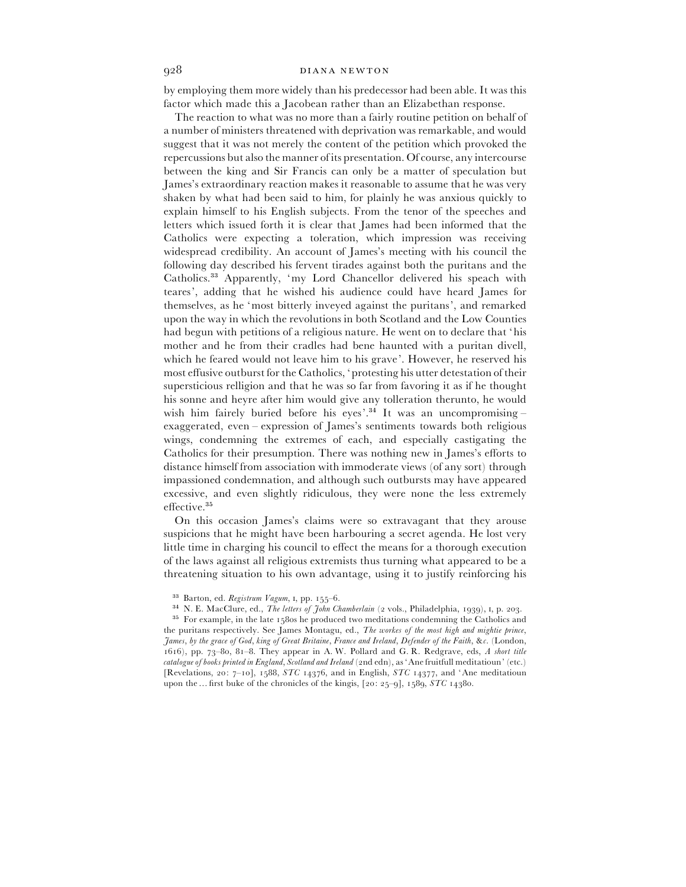by employing them more widely than his predecessor had been able. It was this factor which made this a Jacobean rather than an Elizabethan response.

The reaction to what was no more than a fairly routine petition on behalf of a number of ministers threatened with deprivation was remarkable, and would suggest that it was not merely the content of the petition which provoked the repercussions but also the manner of its presentation. Of course, any intercourse between the king and Sir Francis can only be a matter of speculation but James's extraordinary reaction makes it reasonable to assume that he was very shaken by what had been said to him, for plainly he was anxious quickly to explain himself to his English subjects. From the tenor of the speeches and letters which issued forth it is clear that James had been informed that the Catholics were expecting a toleration, which impression was receiving widespread credibility. An account of James's meeting with his council the following day described his fervent tirades against both the puritans and the Catholics.<sup>33</sup> Apparently, 'my Lord Chancellor delivered his speach with teares', adding that he wished his audience could have heard James for themselves, as he 'most bitterly inveyed against the puritans', and remarked upon the way in which the revolutions in both Scotland and the Low Counties had begun with petitions of a religious nature. He went on to declare that 'his mother and he from their cradles had bene haunted with a puritan divell, which he feared would not leave him to his grave'. However, he reserved his most effusive outburst for the Catholics, 'protesting his utter detestation of their supersticious relligion and that he was so far from favoring it as if he thought his sonne and heyre after him would give any tolleration therunto, he would wish him fairely buried before his eyes'. $34$  It was an uncompromising exaggerated, even – expression of James's sentiments towards both religious wings, condemning the extremes of each, and especially castigating the Catholics for their presumption. There was nothing new in James's efforts to distance himself from association with immoderate views (of any sort) through impassioned condemnation, and although such outbursts may have appeared excessive, and even slightly ridiculous, they were none the less extremely effective.<sup>35</sup>

On this occasion James's claims were so extravagant that they arouse suspicions that he might have been harbouring a secret agenda. He lost very little time in charging his council to effect the means for a thorough execution of the laws against all religious extremists thus turning what appeared to be a threatening situation to his own advantage, using it to justify reinforcing his

<sup>&</sup>lt;sup>33</sup> Barton, ed. *Registrum Vagum*, 1, pp. 155–6.

<sup>&</sup>lt;sup>34</sup> N. E. MacClure, ed., *The letters of John Chamberlain* (2 vols., Philadelphia, 1939), I, p. 203.

 $^{35}\,$  For example, in the late 1580s he produced two meditations condemning the Catholics and the puritans respectively. See James Montagu, ed., *The workes of the most high and mightie prince*, *James*, *by the grace of God*, *king of Great Britaine*, *France and Ireland*, *Defender of the Faith*, &*c*. (London, ), pp. –, –. They appear in A. W. Pollard and G. R. Redgrave, eds, *A short title catalogue of books printed in England, Scotland and Ireland* (2nd edn), as 'Ane fruitfull meditatioun' (etc.) [Revelations,  $20: 7-10$ ],  $1588$ , *STC*  $14376$ , and in English, *STC*  $14377$ , and 'Ane meditatioun upon the ... first buke of the chronicles of the kingis,  $[20: 25-9]$ ,  $1589$ ,  $STC$   $14380$ .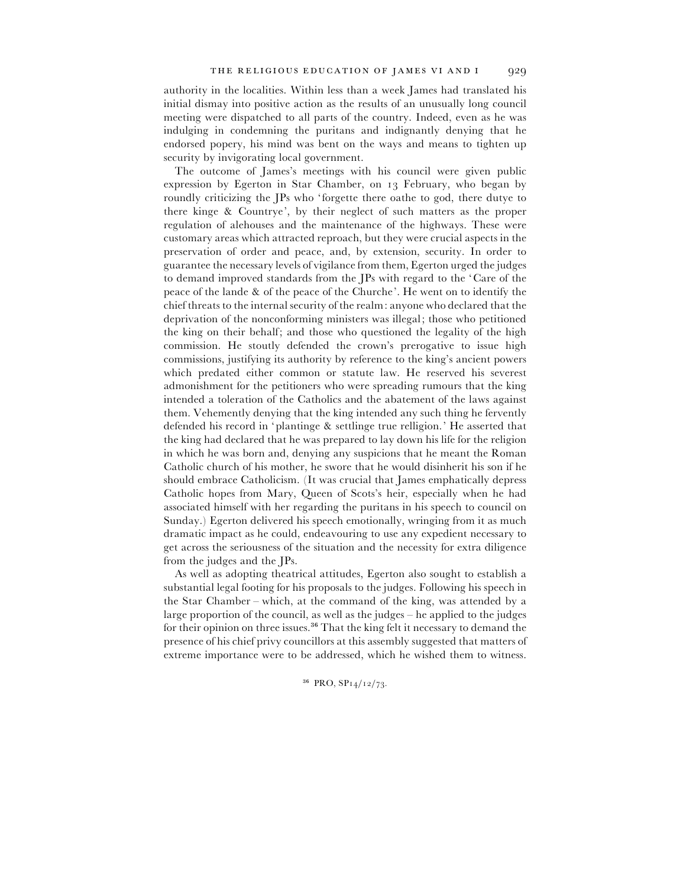authority in the localities. Within less than a week James had translated his initial dismay into positive action as the results of an unusually long council meeting were dispatched to all parts of the country. Indeed, even as he was indulging in condemning the puritans and indignantly denying that he endorsed popery, his mind was bent on the ways and means to tighten up security by invigorating local government.

The outcome of James's meetings with his council were given public expression by Egerton in Star Chamber, on 13 February, who began by roundly criticizing the JPs who 'forgette there oathe to god, there dutye to there kinge & Countrye', by their neglect of such matters as the proper regulation of alehouses and the maintenance of the highways. These were customary areas which attracted reproach, but they were crucial aspects in the preservation of order and peace, and, by extension, security. In order to guarantee the necessary levels of vigilance from them, Egerton urged the judges to demand improved standards from the JPs with regard to the 'Care of the peace of the lande & of the peace of the Churche'. He went on to identify the chief threats to the internal security of the realm: anyone who declared that the deprivation of the nonconforming ministers was illegal; those who petitioned the king on their behalf; and those who questioned the legality of the high commission. He stoutly defended the crown's prerogative to issue high commissions, justifying its authority by reference to the king's ancient powers which predated either common or statute law. He reserved his severest admonishment for the petitioners who were spreading rumours that the king intended a toleration of the Catholics and the abatement of the laws against them. Vehemently denying that the king intended any such thing he fervently defended his record in 'plantinge & settlinge true relligion.' He asserted that the king had declared that he was prepared to lay down his life for the religion in which he was born and, denying any suspicions that he meant the Roman Catholic church of his mother, he swore that he would disinherit his son if he should embrace Catholicism. (It was crucial that James emphatically depress Catholic hopes from Mary, Queen of Scots's heir, especially when he had associated himself with her regarding the puritans in his speech to council on Sunday.) Egerton delivered his speech emotionally, wringing from it as much dramatic impact as he could, endeavouring to use any expedient necessary to get across the seriousness of the situation and the necessity for extra diligence from the judges and the JPs.

As well as adopting theatrical attitudes, Egerton also sought to establish a substantial legal footing for his proposals to the judges. Following his speech in the Star Chamber – which, at the command of the king, was attended by a large proportion of the council, as well as the judges – he applied to the judges for their opinion on three issues.<sup>36</sup> That the king felt it necessary to demand the presence of his chief privy councillors at this assembly suggested that matters of extreme importance were to be addressed, which he wished them to witness.

 $36$  PRO,  $SP14/12/73$ .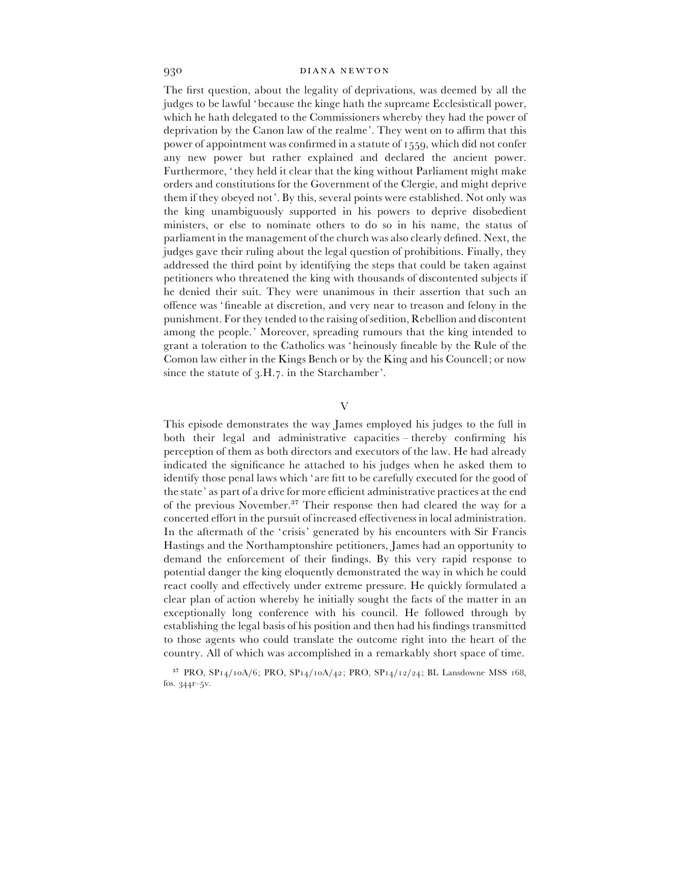The first question, about the legality of deprivations, was deemed by all the judges to be lawful 'because the kinge hath the supreame Ecclesisticall power, which he hath delegated to the Commissioners whereby they had the power of deprivation by the Canon law of the realme'. They went on to affirm that this power of appointment was confirmed in a statute of  $1559$ , which did not confer any new power but rather explained and declared the ancient power. Furthermore, ' they held it clear that the king without Parliament might make orders and constitutions for the Government of the Clergie, and might deprive them if they obeyed not'. By this, several points were established. Not only was the king unambiguously supported in his powers to deprive disobedient ministers, or else to nominate others to do so in his name, the status of parliament in the management of the church was also clearly defined. Next, the judges gave their ruling about the legal question of prohibitions. Finally, they addressed the third point by identifying the steps that could be taken against petitioners who threatened the king with thousands of discontented subjects if he denied their suit. They were unanimous in their assertion that such an offence was 'fineable at discretion, and very near to treason and felony in the punishment. For they tended to the raising of sedition, Rebellion and discontent among the people.' Moreover, spreading rumours that the king intended to grant a toleration to the Catholics was 'heinously fineable by the Rule of the Comon law either in the Kings Bench or by the King and his Councell; or now since the statute of  $3.H.7$ . in the Starchamber'.

# V

This episode demonstrates the way James employed his judges to the full in both their legal and administrative capacities – thereby confirming his perception of them as both directors and executors of the law. He had already indicated the significance he attached to his judges when he asked them to identify those penal laws which ' are fitt to be carefully executed for the good of the state' as part of a drive for more efficient administrative practices at the end of the previous November.<sup>37</sup> Their response then had cleared the way for a concerted effort in the pursuit of increased effectiveness in local administration. In the aftermath of the 'crisis' generated by his encounters with Sir Francis Hastings and the Northamptonshire petitioners, James had an opportunity to demand the enforcement of their findings. By this very rapid response to potential danger the king eloquently demonstrated the way in which he could react coolly and effectively under extreme pressure. He quickly formulated a clear plan of action whereby he initially sought the facts of the matter in an exceptionally long conference with his council. He followed through by establishing the legal basis of his position and then had his findings transmitted to those agents who could translate the outcome right into the heart of the country. All of which was accomplished in a remarkably short space of time.

<sup>37</sup> PRO, SP<sub>14</sub>/10A/6; PRO, SP<sub>14</sub>/10A/42; PRO, SP<sub>14</sub>/12/24; BL Lansdowne MSS 168, fos.  $344r-5v$ .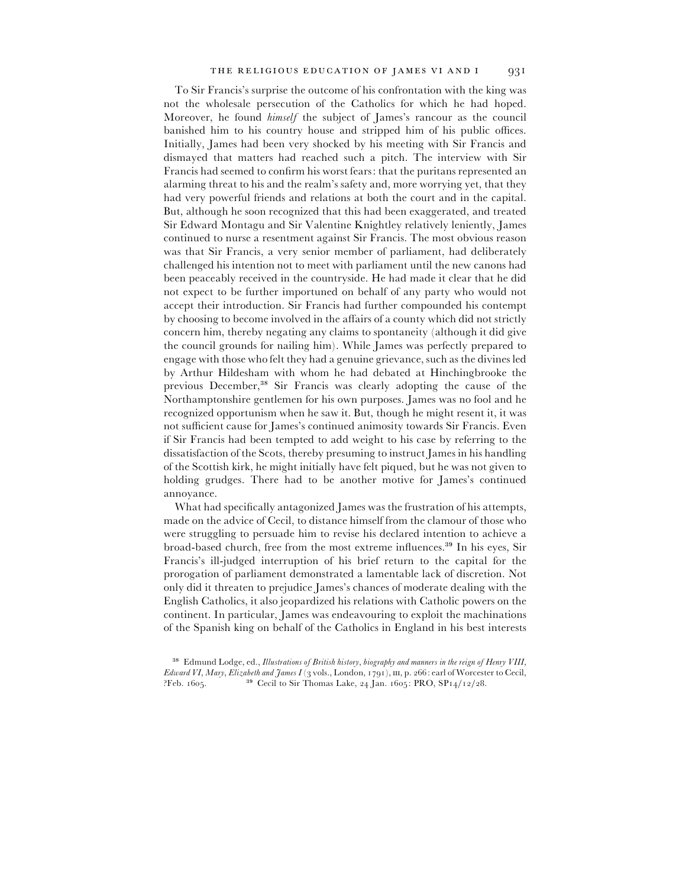To Sir Francis's surprise the outcome of his confrontation with the king was not the wholesale persecution of the Catholics for which he had hoped. Moreover, he found *himself* the subject of James's rancour as the council banished him to his country house and stripped him of his public offices. Initially, James had been very shocked by his meeting with Sir Francis and dismayed that matters had reached such a pitch. The interview with Sir Francis had seemed to confirm his worst fears: that the puritans represented an alarming threat to his and the realm's safety and, more worrying yet, that they had very powerful friends and relations at both the court and in the capital. But, although he soon recognized that this had been exaggerated, and treated Sir Edward Montagu and Sir Valentine Knightley relatively leniently, James continued to nurse a resentment against Sir Francis. The most obvious reason was that Sir Francis, a very senior member of parliament, had deliberately challenged his intention not to meet with parliament until the new canons had been peaceably received in the countryside. He had made it clear that he did not expect to be further importuned on behalf of any party who would not accept their introduction. Sir Francis had further compounded his contempt by choosing to become involved in the affairs of a county which did not strictly concern him, thereby negating any claims to spontaneity (although it did give the council grounds for nailing him). While James was perfectly prepared to engage with those who felt they had a genuine grievance, such as the divines led by Arthur Hildesham with whom he had debated at Hinchingbrooke the previous December,<sup>38</sup> Sir Francis was clearly adopting the cause of the Northamptonshire gentlemen for his own purposes. James was no fool and he recognized opportunism when he saw it. But, though he might resent it, it was not sufficient cause for James's continued animosity towards Sir Francis. Even if Sir Francis had been tempted to add weight to his case by referring to the dissatisfaction of the Scots, thereby presuming to instruct James in his handling of the Scottish kirk, he might initially have felt piqued, but he was not given to holding grudges. There had to be another motive for James's continued annoyance.

What had specifically antagonized James was the frustration of his attempts, made on the advice of Cecil, to distance himself from the clamour of those who were struggling to persuade him to revise his declared intention to achieve a broad-based church, free from the most extreme influences.<sup>39</sup> In his eyes, Sir Francis's ill-judged interruption of his brief return to the capital for the prorogation of parliament demonstrated a lamentable lack of discretion. Not only did it threaten to prejudice James's chances of moderate dealing with the English Catholics, it also jeopardized his relations with Catholic powers on the continent. In particular, James was endeavouring to exploit the machinations of the Spanish king on behalf of the Catholics in England in his best interests

<sup>\$)</sup> Edmund Lodge, ed., *Illustrations of British history*, *biography and manners in the reign of Henry VIII*, *Edward VI*, *Mary*, *Elizabeth and James I* (3 vols., London, 1791),  $m$ , p. 266: earl of Worcester to Cecil, <br>
<sup>28</sup> Cecil to Sir Thomas Lake, 24 Jan. 1605: PRO, SP14/12/28. <sup>39</sup> Cecil to Sir Thomas Lake, 24 Jan.  $1605$ : PRO, SP $14/12/28$ .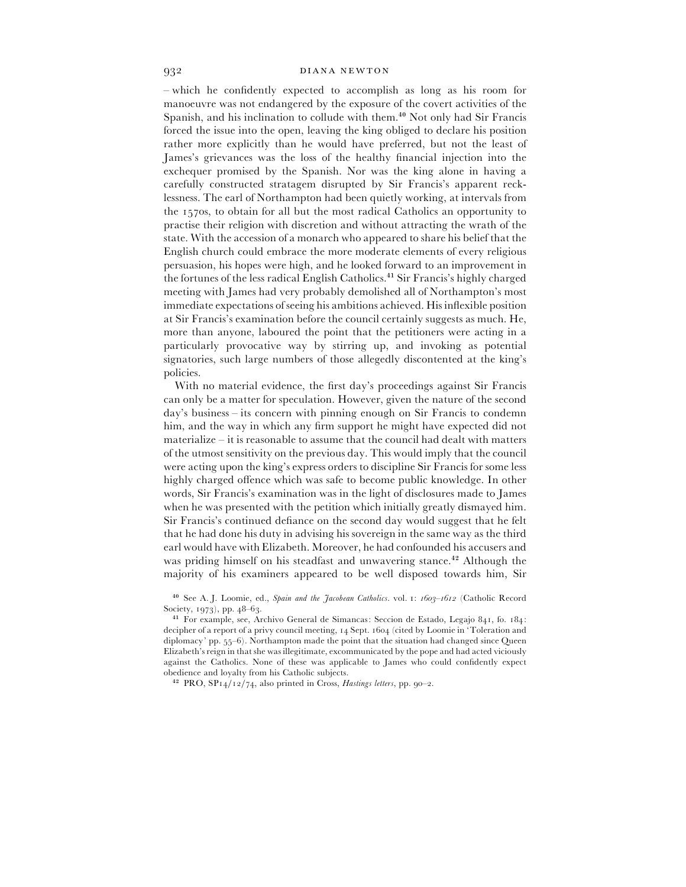– which he confidently expected to accomplish as long as his room for manoeuvre was not endangered by the exposure of the covert activities of the Spanish, and his inclination to collude with them.<sup>40</sup> Not only had Sir Francis forced the issue into the open, leaving the king obliged to declare his position rather more explicitly than he would have preferred, but not the least of James's grievances was the loss of the healthy financial injection into the exchequer promised by the Spanish. Nor was the king alone in having a carefully constructed stratagem disrupted by Sir Francis's apparent recklessness. The earl of Northampton had been quietly working, at intervals from the  $1570s$ , to obtain for all but the most radical Catholics an opportunity to practise their religion with discretion and without attracting the wrath of the state. With the accession of a monarch who appeared to share his belief that the English church could embrace the more moderate elements of every religious persuasion, his hopes were high, and he looked forward to an improvement in the fortunes of the less radical English Catholics.<sup>41</sup> Sir Francis's highly charged meeting with James had very probably demolished all of Northampton's most immediate expectations of seeing his ambitions achieved. His inflexible position at Sir Francis's examination before the council certainly suggests as much. He, more than anyone, laboured the point that the petitioners were acting in a particularly provocative way by stirring up, and invoking as potential signatories, such large numbers of those allegedly discontented at the king's policies.

With no material evidence, the first day's proceedings against Sir Francis can only be a matter for speculation. However, given the nature of the second day's business – its concern with pinning enough on Sir Francis to condemn him, and the way in which any firm support he might have expected did not materialize – it is reasonable to assume that the council had dealt with matters of the utmost sensitivity on the previous day. This would imply that the council were acting upon the king's express orders to discipline Sir Francis for some less highly charged offence which was safe to become public knowledge. In other words, Sir Francis's examination was in the light of disclosures made to James when he was presented with the petition which initially greatly dismayed him. Sir Francis's continued defiance on the second day would suggest that he felt that he had done his duty in advising his sovereign in the same way as the third earl would have with Elizabeth. Moreover, he had confounded his accusers and was priding himself on his steadfast and unwavering stance.<sup>42</sup> Although the majority of his examiners appeared to be well disposed towards him, Sir

<sup>40</sup> See A. J. Loomie, ed., *Spain and the Jacobean Catholics*. vol. 1: *1603–1612* (Catholic Record Society,  $1973$ ), pp.  $48-63$ .

<sup>42</sup> PRO,  $SPI4/I2/74$ , also printed in Cross, *Hastings letters*, pp. 90–2.

 $41$  For example, see, Archivo General de Simancas: Seccion de Estado, Legajo 841, fo. 184: decipher of a report of a privy council meeting, 14 Sept. 1604 (cited by Loomie in 'Toleration and diplomacy' pp. 55-6). Northampton made the point that the situation had changed since Queen Elizabeth's reign in that she was illegitimate, excommunicated by the pope and had acted viciously against the Catholics. None of these was applicable to James who could confidently expect obedience and loyalty from his Catholic subjects.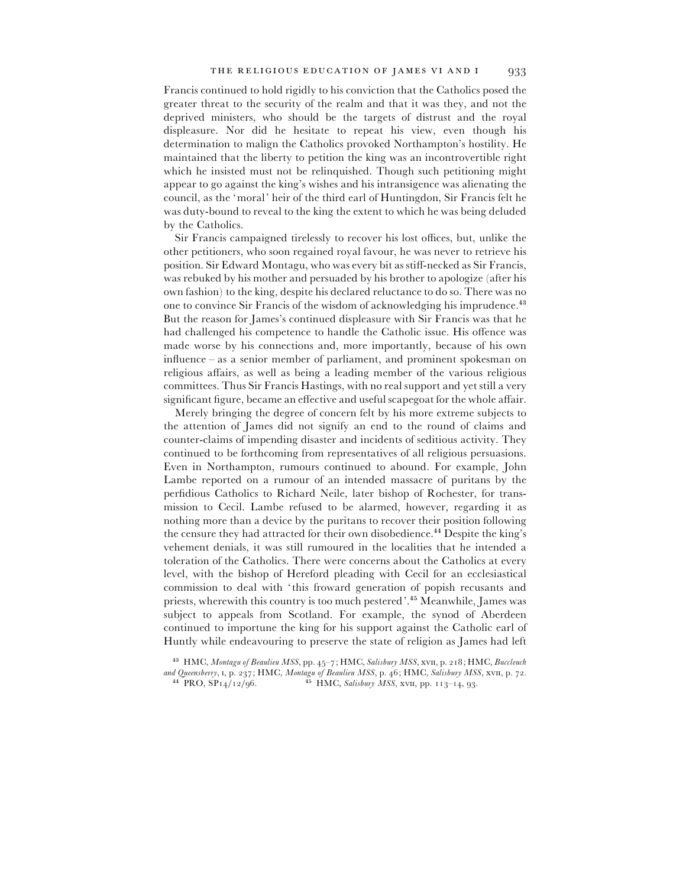Francis continued to hold rigidly to his conviction that the Catholics posed the greater threat to the security of the realm and that it was they, and not the deprived ministers, who should be the targets of distrust and the royal displeasure. Nor did he hesitate to repeat his view, even though his determination to malign the Catholics provoked Northampton's hostility. He maintained that the liberty to petition the king was an incontrovertible right which he insisted must not be relinquished. Though such petitioning might appear to go against the king's wishes and his intransigence was alienating the council, as the 'moral' heir of the third earl of Huntingdon, Sir Francis felt he was duty-bound to reveal to the king the extent to which he was being deluded by the Catholics.

Sir Francis campaigned tirelessly to recover his lost offices, but, unlike the other petitioners, who soon regained royal favour, he was never to retrieve his position. Sir Edward Montagu, who was every bit as stiff-necked as Sir Francis, was rebuked by his mother and persuaded by his brother to apologize (after his own fashion) to the king, despite his declared reluctance to do so. There was no one to convince Sir Francis of the wisdom of acknowledging his imprudence.<sup>43</sup> But the reason for James's continued displeasure with Sir Francis was that he had challenged his competence to handle the Catholic issue. His offence was made worse by his connections and, more importantly, because of his own influence – as a senior member of parliament, and prominent spokesman on religious affairs, as well as being a leading member of the various religious committees. Thus Sir Francis Hastings, with no real support and yet still a very significant figure, became an effective and useful scapegoat for the whole affair.

Merely bringing the degree of concern felt by his more extreme subjects to the attention of James did not signify an end to the round of claims and counter-claims of impending disaster and incidents of seditious activity. They continued to be forthcoming from representatives of all religious persuasions. Even in Northampton, rumours continued to abound. For example, John Lambe reported on a rumour of an intended massacre of puritans by the perfidious Catholics to Richard Neile, later bishop of Rochester, for transmission to Cecil. Lambe refused to be alarmed, however, regarding it as nothing more than a device by the puritans to recover their position following the censure they had attracted for their own disobedience.<sup>44</sup> Despite the king's vehement denials, it was still rumoured in the localities that he intended a toleration of the Catholics. There were concerns about the Catholics at every level, with the bishop of Hereford pleading with Cecil for an ecclesiastical commission to deal with ' this froward generation of popish recusants and priests, wherewith this country is too much pestered'.<sup>45</sup> Meanwhile, James was subject to appeals from Scotland. For example, the synod of Aberdeen continued to importune the king for his support against the Catholic earl of Huntly while endeavouring to preserve the state of religion as James had left

<sup>&</sup>lt;sup>43</sup> HMC, *Montagu of Beaulieu MSS*, pp. 45–7; HMC, *Salisbury MSS*, xvII, p. 218; HMC, *Buccleuch* and Queensberry, I, p. 237; HMC, *Montagu of Beaulieu MSS*, p. 46; HMC, *Salisbury MSS*, xvII, p. 72. <sup>44</sup> PRO,  $SP_{14}/_{12}/_{96}$ . <sup>45</sup> HMC, *Salisbury MSS*, xvII, pp. 113-14, 93.